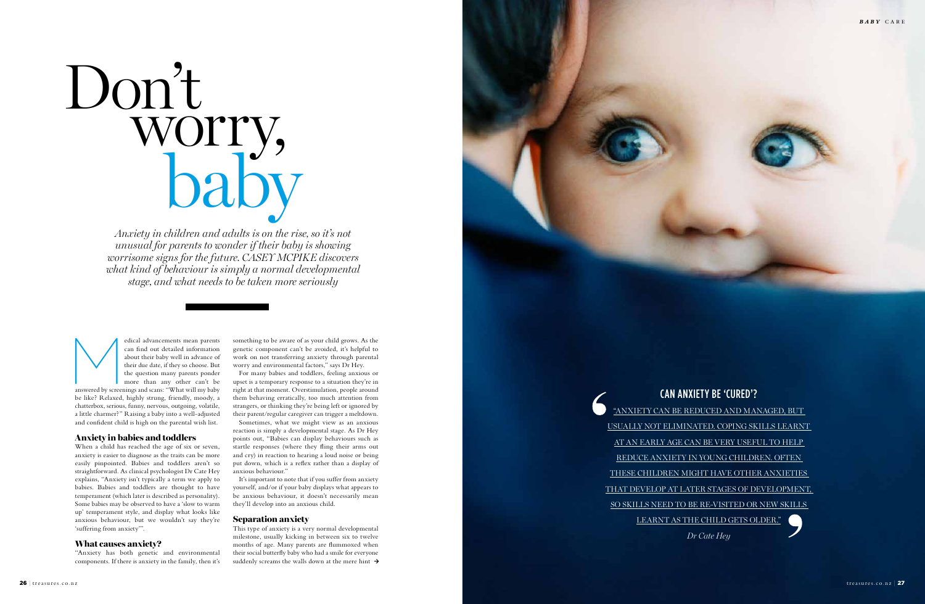edical advancements mean parents<br>
can find out detailed information<br>
about their baby well in advance of<br>
their due date, if they so choose. But<br>
the question many parents ponder<br>
more than any other can't be<br>
answered by can find out detailed information about their baby well in advance of their due date, if they so choose. But the question many parents ponder more than any other can't be be like? Relaxed, highly strung, friendly, moody, a chatterbox, serious, funny, nervous, outgoing, volatile, a little charmer?" Raising a baby into a well-adjusted and confident child is high on the parental wish list.

#### Anxiety in babies and toddlers

When a child has reached the age of six or seven, anxiety is easier to diagnose as the traits can be more easily pinpointed. Babies and toddlers aren't so straightforward. As clinical psychologist Dr Cate Hey explains, "Anxiety isn't typically a term we apply to babies. Babies and toddlers are thought to have temperament (which later is described as personality). Some babies may be observed to have a 'slow to warm up' temperament style, and display what looks like anxious behaviour, but we wouldn't say they're 'suffering from anxiety'".

#### What causes anxiety?

"Anxiety has both genetic and environmental components. If there is anxiety in the family, then it's This type of anxiety is a very normal developmental milestone, usually kicking in between six to twelve months of age. Many parents are flummoxed when their social butterfly baby who had a smile for everyone suddenly screams the walls down at the mere hint  $\rightarrow$ 

*Anxiety in children and adults is on the rise, so it's not unusual for parents to wonder if their baby is showing worrisome signs for the future. CASEY MCPIKE discovers what kind of behaviour is simply a normal developmental stage, and what needs to be taken more seriously* 

> something to be aware of as your child grows. As the genetic component can't be avoided, it's helpful to work on not transferring anxiety through parental worry and environmental factors," says Dr Hey.

> For many babies and toddlers, feeling anxious or upset is a temporary response to a situation they're in right at that moment. Overstimulation, people around them behaving erratically, too much attention from strangers, or thinking they're being left or ignored by their parent/regular caregiver can trigger a meltdown.

## Don't worry, baby

Sometimes, what we might view as an anxious reaction is simply a developmental stage. As Dr Hey points out, "Babies can display behaviours such as startle responses (where they fling their arms out and cry) in reaction to hearing a loud noise or being put down, which is a reflex rather than a display of anxious behaviour."

It's important to note that if you suffer from anxiety yourself, and/or if your baby displays what appears to be anxious behaviour, it doesn't necessarily mean they'll develop into an anxious child.

#### Separation anxiety

#### CAN ANXIETY BE 'CURED'?

"ANXIETY CAN BE REDUCED AND MANAGED, BUT USUALLY NOT ELIMINATED. COPING SKILLS LEARNT AT AN EARLY AGE CAN BE VERY USEFUL TO HELP REDUCE ANXIETY IN YOUNG CHILDREN. OFTEN THESE CHILDREN MIGHT HAVE OTHER ANXIETIES THAT DEVELOP AT LATER STAGES OF DEVELOPMENT, SO SKILLS NEED TO BE RE-VISITED OR NEW SKILLS LEARNT AS THE CHILD GETS OLDER."

*Dr Cate Hey*